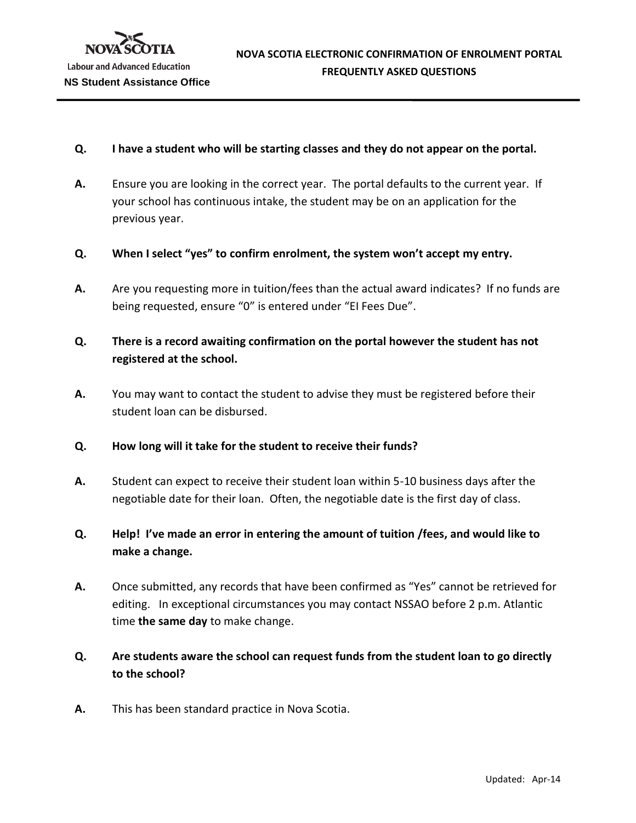## **Q. I have a student who will be starting classes and they do not appear on the portal.**

- **A.** Ensure you are looking in the correct year. The portal defaults to the current year. If your school has continuous intake, the student may be on an application for the previous year.
- **Q. When I select "yes" to confirm enrolment, the system won't accept my entry.**
- **A.** Are you requesting more in tuition/fees than the actual award indicates? If no funds are being requested, ensure "0" is entered under "EI Fees Due".
- **Q. There is a record awaiting confirmation on the portal however the student has not registered at the school.**
- **A.** You may want to contact the student to advise they must be registered before their student loan can be disbursed.
- **Q. How long will it take for the student to receive their funds?**
- **A.** Student can expect to receive their student loan within 5-10 business days after the negotiable date for their loan. Often, the negotiable date is the first day of class.
- **Q. Help! I've made an error in entering the amount of tuition /fees, and would like to make a change.**
- **A.** Once submitted, any records that have been confirmed as "Yes" cannot be retrieved for editing. In exceptional circumstances you may contact NSSAO before 2 p.m. Atlantic time **the same day** to make change.
- **Q. Are students aware the school can request funds from the student loan to go directly to the school?**
- **A.** This has been standard practice in Nova Scotia.